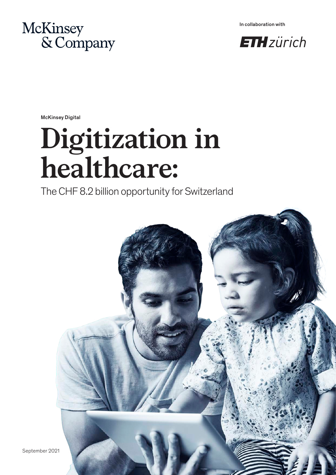

In collaboration with



McKinsey Digital

# **Digitization in healthcare:**

The CHF 8.2 billion opportunity for Switzerland



September 2021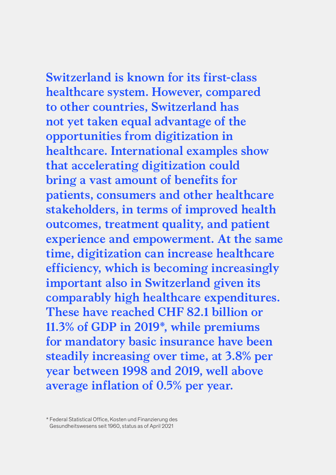**Switzerland is known for its first-class healthcare system. However, compared to other countries, Switzerland has not yet taken equal advantage of the opportunities from digitization in healthcare. International examples show that accelerating digitization could bring a vast amount of benefits for patients, consumers and other healthcare stakeholders, in terms of improved health outcomes, treatment quality, and patient experience and empowerment. At the same time, digitization can increase healthcare efficiency, which is becoming increasingly important also in Switzerland given its comparably high healthcare expenditures. These have reached CHF 82.1 billion or 11.3% of GDP in 2019\*, while premiums for mandatory basic insurance have been steadily increasing over time, at 3.8% per year between 1998 and 2019, well above average inflation of 0.5% per year.**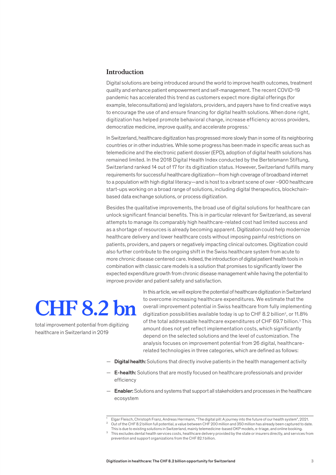#### **Introduction**

Digital solutions are being introduced around the world to improve health outcomes, treatment quality and enhance patient empowerment and self-management. The recent COVID-19 pandemic has accelerated this trend as customers expect more digital offerings (for example, teleconsultations) and legislators, providers, and payers have to find creative ways to encourage the use of and ensure financing for digital health solutions. When done right, digitization has helped promote behavioral change, increase efficiency across providers, democratize medicine, improve quality, and accelerate progress.<sup>1</sup>

In Switzerland, healthcare digitization has progressed more slowly than in some of its neighboring countries or in other industries. While some progress has been made in specific areas such as telemedicine and the electronic patient dossier (EPD), adoption of digital health solutions has remained limited. In the 2018 Digital Health Index conducted by the Bertelsmann Stiftung, Switzerland ranked 14 out of 17 for its digitization status. However, Switzerland fulfills many requirements for successful healthcare digitization—from high coverage of broadband internet to a population with high digital literacy—and is host to a vibrant scene of over ~900 healthcare start-ups working on a broad range of solutions, including digital therapeutics, blockchainbased data exchange solutions, or process digitization.

Besides the qualitative improvements, the broad use of digital solutions for healthcare can unlock significant financial benefits. This is in particular relevant for Switzerland, as several attempts to manage its comparably high healthcare-related cost had limited success and as a shortage of resources is already becoming apparent. Digitization could help modernize healthcare delivery and lower healthcare costs without imposing painful restrictions on patients, providers, and payers or negatively impacting clinical outcomes. Digitization could also further contribute to the ongoing shift in the Swiss healthcare system from acute to more chronic disease centered care. Indeed, the introduction of digital patient health tools in combination with classic care models is a solution that promises to significantly lower the expected expenditure growth from chronic disease management while having the potential to improve provider and patient safety and satisfaction.

## **CHF 8.2 bn**

total improvement potential from digitizing healthcare in Switzerland in 2019

In this article, we will explore the potential of healthcare digitization in Switzerland to overcome increasing healthcare expenditures. We estimate that the overall improvement potential in Swiss healthcare from fully implementing digitization possibilities available today is up to CHF 8.2 billion<sup>2</sup>, or 11.8% of the total addressable healthcare expenditures of CHF 69.7 billion.<sup>3</sup> This amount does not yet reflect implementation costs, which significantly depend on the selected solutions and the level of customization. The analysis focuses on improvement potential from 26 digital, healthcarerelated technologies in three categories, which are defined as follows:

- $-$  Digital health: Solutions that directly involve patients in the health management activity
- $-$  E-health: Solutions that are mostly focused on healthcare professionals and provider efficiency
- Enabler: Solutions and systems that support all stakeholders and processes in the healthcare ecosystem

<sup>1</sup> Elgar Fleisch, Christoph Franz, Andreas Herrmann, "The digital pill: A journey into the future of our health system", 2021. <sup>2</sup> Out of the CHF 8.2 billion full potential, a value between CHF 200 million and 350 million has already been captured to date.

This is due to existing solutions in Switzerland, mainly telemedicine-based OKP models, e-triage, and online booking.

This excludes dental health services costs, healthcare delivery provided by the state or insurers directly, and services from prevention and support organizations from the CHF 82.1 billion.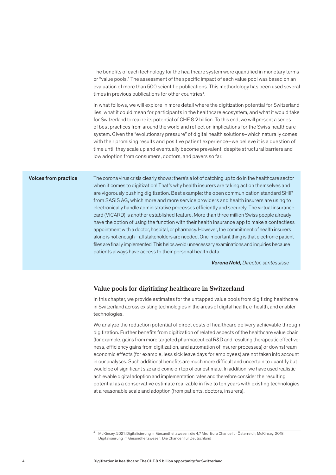The benefits of each technology for the healthcare system were quantified in monetary terms or "value pools." The assessment of the specific impact of each value pool was based on an evaluation of more than 500 scientific publications. This methodology has been used several times in previous publications for other countries<sup>4</sup>.

In what follows, we will explore in more detail where the digitization potential for Switzerland lies, what it could mean for participants in the healthcare ecosystem, and what it would take for Switzerland to realize its potential of CHF 8.2 billion. To this end, we will present a series of best practices from around the world and reflect on implications for the Swiss healthcare system. Given the "evolutionary pressure" of digital health solutions–which naturally comes with their promising results and positive patient experience–we believe it is a question of time until they scale up and eventually become prevalent, despite structural barriers and low adoption from consumers, doctors, and payers so far.

#### Voices from practice

The corona virus crisis clearly shows: there's a lot of catching up to do in the healthcare sector when it comes to digitization! That's why health insurers are taking action themselves and are vigorously pushing digitization. Best example: the open communication standard SHIP from SASIS AG, which more and more service providers and health insurers are using to electronically handle administrative processes efficiently and securely. The virtual insurance card (VICARD) is another established feature. More than three million Swiss people already have the option of using the function with their health insurance app to make a contactless appointment with a doctor, hospital, or pharmacy. However, the commitment of health insurers alone is not enough—all stakeholders are needed. One important thing is that electronic patient files are finally implemented. This helps avoid unnecessary examinations and inquiries because patients always have access to their personal health data.

 *Verena Nold, Director, santésuisse*

#### **Value pools for digitizing healthcare in Switzerland**

In this chapter, we provide estimates for the untapped value pools from digitizing healthcare in Switzerland across existing technologies in the areas of digital health, e-health, and enabler technologies.

We analyze the reduction potential of direct costs of healthcare delivery achievable through digitization. Further benefits from digitization of related aspects of the healthcare value chain (for example, gains from more targeted pharmaceutical R&D and resulting therapeutic effectiveness, efficiency gains from digitization, and automation of insurer processes) or downstream economic effects (for example, less sick leave days for employees) are not taken into account in our analyses. Such additional benefits are much more difficult and uncertain to quantify but would be of significant size and come on top of our estimate. In addition, we have used realistic achievable digital adoption and implementation rates and therefore consider the resulting potential as a conservative estimate realizable in five to ten years with existing technologies at a reasonable scale and adoption (from patients, doctors, insurers).

<sup>4</sup> McKinsey, 2021: Digitalisierung im Gesundheitswesen, die 4,7 Mrd. Euro Chance für Österreich; McKinsey, 2018: Digitalisierung im Gesundheitswesen: Die Chancen für Deutschland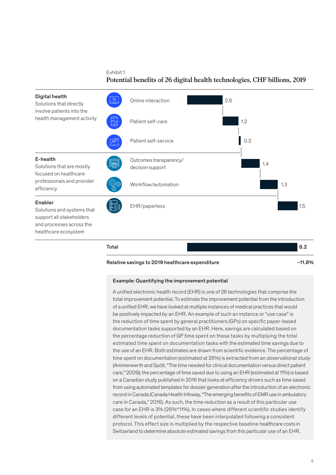Exhibit 1 **Potential benefits of 26 digital health technologies, CHF billions, 2019**



#### Relative savings to 2019 healthcare expenditure matching and the control of 11.8%

#### Example: Quantifying the improvement potential

A unified electronic health record (EHR) is one of 26 technologies that comprise the total improvement potential. To estimate the improvement potential from the introduction of a unified EHR, we have looked at multiple instances of medical practices that would be positively impacted by an EHR. An example of such an instance or "use case" is the reduction of time spent by general practitioners (GPs) on specific paper-based documentation tasks supported by an EHR. Here, savings are calculated based on the percentage reduction of GP time spent on these tasks by multiplying the total estimated time spent on documentation tasks with the estimated time savings due to the use of an EHR. Both estimates are drawn from scientific evidence. The percentage of time spent on documentation (estimated at 26%) is extracted from an observational study (Ammenwerth and Spötl, "The time needed for clinical documentation versus direct patient care," 2009); the percentage of time saved due to using an EHR (estimated at 11%) is based on a Canadian study published in 2016 that looks at efficiency drivers such as time saved from using automated templates for dossier generation after the introduction of an electronic record in Canada (Canada Health Infoway, "The emerging benefits of EMR use in ambulatory care in Canada," 2016). As such, the time reduction as a result of this particular use case for an EHR is 3% (26%\*11%). In cases where different scientific studies identify different levels of potential, these have been interpolated following a consistent protocol. This effect size is multiplied by the respective baseline healthcare costs in Switzerland to determine absolute estimated savings from this particular use of an EHR.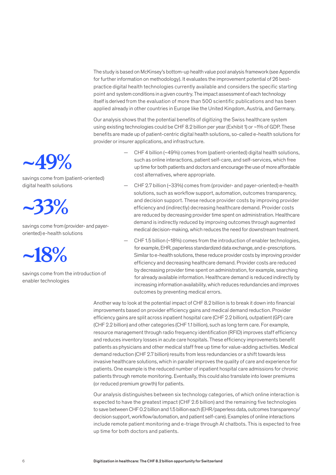The study is based on McKinsey's bottom-up health value pool analysis framework (see Appendix for further information on methodology). It evaluates the improvement potential of 26 bestpractice digital health technologies currently available and considers the specific starting point and system conditions in a given country. The impact assessment of each technology itself is derived from the evaluation of more than 500 scientific publications and has been applied already in other countries in Europe like the United Kingdom, Austria, and Germany.

Our analysis shows that the potential benefits of digitizing the Swiss healthcare system using existing technologies could be CHF 8.2 billion per year (Exhibit 1) or ~1% of GDP. These benefits are made up of patient-centric digital health solutions, so-called e-health solutions for provider or insurer applications, and infrastructure.

- CHF 4 billion (~49%) comes from (patient-oriented) digital health solutions, such as online interactions, patient self-care, and self-services, which free up time for both patients and doctors and encourage the use of more affordable cost alternatives, where appropriate.
- CHF 2.7 billion (~33%) comes from (provider- and payer-oriented) e-health solutions, such as workflow support, automation, outcomes transparency, and decision support. These reduce provider costs by improving provider efficiency and (indirectly) decreasing healthcare demand. Provider costs are reduced by decreasing provider time spent on administration. Healthcare demand is indirectly reduced by improving outcomes through augmented medical decision-making, which reduces the need for downstream treatment.
- CHF 1.5 billion (~18%) comes from the introduction of enabler technologies, for example, EHR, paperless standardized data exchange, and e-prescriptions. Similar to e-health solutions, these reduce provider costs by improving provider efficiency and decreasing healthcare demand. Provider costs are reduced by decreasing provider time spent on administration, for example, searching for already available information. Healthcare demand is reduced indirectly by increasing information availability, which reduces redundancies and improves outcomes by preventing medical errors.

Another way to look at the potential impact of CHF 8.2 billion is to break it down into financial improvements based on provider efficiency gains and medical demand reduction. Provider efficiency gains are split across inpatient hospital care (CHF 2.2 billion), outpatient (GP) care (CHF 2.2 billion) and other categories (CHF 1.1 billion), such as long term care. For example, resource management through radio frequency identification (RFID) improves staff efficiency and reduces inventory losses in acute care hospitals. These efficiency improvements benefit patients as physicians and other medical staff free up time for value-adding activities. Medical demand reduction (CHF 2.7 billion) results from less redundancies or a shift towards less invasive healthcare solutions, which in parallel improves the quality of care and experience for patients. One example is the reduced number of inpatient hospital care admissions for chronic patients through remote monitoring. Eventually, this could also translate into lower premiums (or reduced premium growth) for patients.

Our analysis distinguishes between six technology categories, of which online interaction is expected to have the greatest impact (CHF 2.6 billion) and the remaining five technologies to save between CHF 0.2 billion and 1.5 billion each (EHR/paperless data, outcomes transparency/ decision support, workflow/automation, and patient self-care). Examples of online interactions include remote patient monitoring and e-triage through AI chatbots. This is expected to free up time for both doctors and patients.



savings come from (patient-oriented) digital health solutions

## **~33%**

savings come from (provider- and payeroriented) e-health solutions



savings come from the introduction of enabler technologies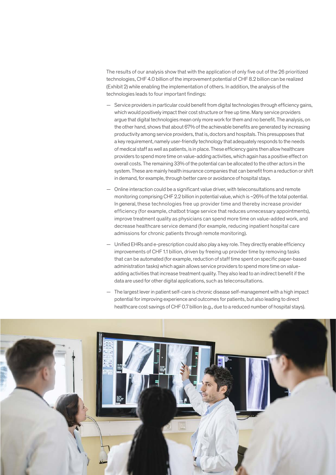The results of our analysis show that with the application of only five out of the 26 prioritized technologies, CHF 4.0 billion of the improvement potential of CHF 8.2 billion can be realized (Exhibit 2) while enabling the implementation of others. In addition, the analysis of the technologies leads to four important findings:

- Service providers in particular could benefit from digital technologies through efficiency gains, which would positively impact their cost structure or free up time. Many service providers argue that digital technologies mean only more work for them and no benefit. The analysis, on the other hand, shows that about 67% of the achievable benefits are generated by increasing productivity among service providers, that is, doctors and hospitals. This presupposes that a key requirement, namely user-friendly technology that adequately responds to the needs of medical staff as well as patients, is in place. These efficiency gains then allow healthcare providers to spend more time on value-adding activities, which again has a positive effect on overall costs. The remaining 33% of the potential can be allocated to the other actors in the system. These are mainly health insurance companies that can benefit from a reduction or shift in demand, for example, through better care or avoidance of hospital stays.
- Online interaction could be a significant value driver, with teleconsultations and remote monitoring comprising CHF 2.2 billion in potential value, which is ~26% of the total potential. In general, these technologies free up provider time and thereby increase provider efficiency (for example, chatbot triage service that reduces unnecessary appointments), improve treatment quality as physicians can spend more time on value-added work, and decrease healthcare service demand (for example, reducing inpatient hospital care admissions for chronic patients through remote monitoring).
- Unified EHRs and e-prescription could also play a key role. They directly enable efficiency improvements of CHF 1.1 billion, driven by freeing up provider time by removing tasks that can be automated (for example, reduction of staff time spent on specific paper-based administration tasks) which again allows service providers to spend more time on valueadding activities that increase treatment quality. They also lead to an indirect benefit if the data are used for other digital applications, such as teleconsultations.
- The largest lever in patient self-care is chronic disease self-management with a high impact potential for improving experience and outcomes for patients, but also leading to direct healthcare cost savings of CHF 0.7 billion (e.g., due to a reduced number of hospital stays).

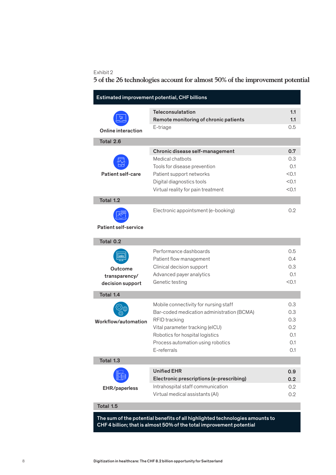#### Exhibit 2

### **5 of the 26 technologies account for almost 50% of the improvement potential**

| Estimated improvement potential, CHF billions |                                                                                                                                                                                                                                       |                                               |  |  |  |
|-----------------------------------------------|---------------------------------------------------------------------------------------------------------------------------------------------------------------------------------------------------------------------------------------|-----------------------------------------------|--|--|--|
| Online interaction                            | <b>Teleconsulatation</b><br>Remote monitoring of chronic patients<br>E-triage                                                                                                                                                         | 1.1<br>1.1<br>0.5                             |  |  |  |
| Total 2.6                                     |                                                                                                                                                                                                                                       |                                               |  |  |  |
|                                               | Chronic disease self-management                                                                                                                                                                                                       | 0.7                                           |  |  |  |
| <b>Patient self-care</b>                      | Medical chathots<br>Tools for disease prevention<br>Patient support networks<br>Digital diagnostics tools<br>Virtual reality for pain treatment                                                                                       | 0.3<br>0.1<br>< 0.1<br>< 0.1<br>< 0.1         |  |  |  |
| Total 1.2                                     |                                                                                                                                                                                                                                       |                                               |  |  |  |
| <b>Patient self-service</b>                   | Electronic appointsment (e-booking)                                                                                                                                                                                                   | $0.2^{\circ}$                                 |  |  |  |
| Total 0.2                                     |                                                                                                                                                                                                                                       |                                               |  |  |  |
| Outcome<br>transparency/<br>decision support  | Performance dashboards<br>Patient flow management<br>Clinical decision support<br>Advanced payer analytics<br>Genetic testing                                                                                                         | 0.5<br>0.4<br>0.3<br>0.1<br>< 0.1             |  |  |  |
| Total 1.4                                     |                                                                                                                                                                                                                                       |                                               |  |  |  |
| Workflow/automation                           | Mobile connectivity for nursing staff<br>Bar-coded medication administration (BCMA)<br><b>RFID</b> tracking<br>Vital parameter tracking (eICU)<br>Robotics for hospital logistics<br>Process automation using robotics<br>E-referrals | 0.3<br>0.3<br>0.3<br>0.2<br>0.1<br>0.1<br>0.1 |  |  |  |
| Total 1.3                                     |                                                                                                                                                                                                                                       |                                               |  |  |  |
| EHR/paperless                                 | <b>Unified EHR</b><br>Electronic prescriptions (e-prescribing)<br>Intrahospital staff communication<br>Virtual medical assistants (AI)                                                                                                | 0.9<br>0.2<br>0.2<br>0.2                      |  |  |  |
| Total 1.5                                     |                                                                                                                                                                                                                                       |                                               |  |  |  |
|                                               | un ef the netential henefits of all highlighted technologies on                                                                                                                                                                       |                                               |  |  |  |

The sum of the potential benefits of all highlighted technologies amounts to CHF 4 billion; that is almost 50% of the total improvement potential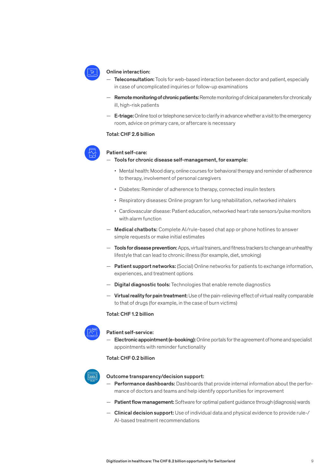

#### Online interaction:

- Teleconsultation: Tools for web-based interaction between doctor and patient, especially in case of uncomplicated inquiries or follow-up examinations
- **Remote monitoring of chronic patients:** Remote monitoring of clinical parameters for chronically ill, high-risk patients
- $-$  **E-triage:** Online tool or telephone service to clarify in advance whether a visit to the emergency room, advice on primary care, or aftercare is necessary

#### Total: CHF 2.6 billion



#### Patient self-care:

#### — Tools for chronic disease self-management, for example:

- Mental health: Mood diary, online courses for behavioral therapy and reminder of adherence to therapy, involvement of personal caregivers
- Diabetes: Reminder of adherence to therapy, connected insulin testers
- Respiratory diseases: Online program for lung rehabilitation, networked inhalers
- Cardiovascular disease: Patient education, networked heart rate sensors/pulse monitors with alarm function
- Medical chatbots: Complete AI/rule-based chat app or phone hotlines to answer simple requests or make initial estimates
- $-$  Tools for disease prevention: Apps, virtual trainers, and fitness trackers to change an unhealthy lifestyle that can lead to chronic illness (for example, diet, smoking)
- Patient support networks: (Social) Online networks for patients to exchange information, experiences, and treatment options
- Digital diagnostic tools: Technologies that enable remote diagnostics
- Virtual reality for pain treatment: Use of the pain-relieving effect of virtual reality comparable to that of drugs (for example, in the case of burn victims)

#### Total: CHF 1.2 billion



#### Patient self-service:

Electronic appointment (e-booking): Online portals for the agreement of home and specialist appointments with reminder functionality

#### Total: CHF 0.2 billion



#### Outcome transparency/decision support:

- $-$  Performance dashboards: Dashboards that provide internal information about the performance of doctors and teams and help identify opportunities for improvement
- Patient flow management: Software for optimal patient guidance through (diagnosis) wards
- Clinical decision support: Use of individual data and physical evidence to provide rule-/ AI-based treatment recommendations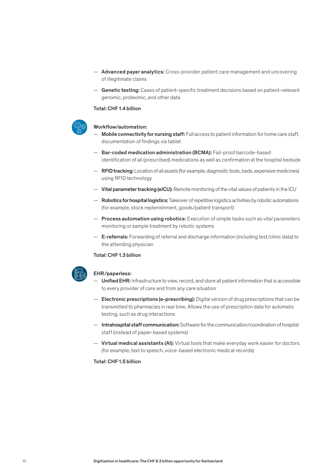- Advanced payer analytics: Cross-provider patient care management and uncovering of illegitimate claims
- Genetic testing: Cases of patient-specific treatment decisions based on patient-relevant genomic, proteomic, and other data

Total: CHF 1.4 billion



#### Workflow/automation:

- Mobile connectivity for nursing staff: Full access to patient information for home care staff, documentation of findings via tablet
- Bar-coded medication administration (BCMA): Fail-proof barcode-based identification of all (prescribed) medications as well as confirmation at the hospital bedside
- $-$  **RFID tracking:** Location of all assets (for example, diagnostic tools, beds, expensive medicines) using RFID technology
- Vital parameter tracking (eICU): Remote monitoring of the vital values of patients in the ICU
- **Robotics for hospital logistics:** Takeover of repetitive logistics activities by robotic automations (for example, stock replenishment, goods/patient transport)
- Process automation using robotics: Execution of simple tasks such as vital parameters monitoring or sample treatment by robotic systems
- E-referrals: Forwarding of referral and discharge information (including test/clinic data) to the attending physician

#### Total: CHF 1.3 billion

#### EHR/paperless:

- Unified EHR: Infrastructure to view, record, and store all patient information that is accessible to every provider of care and from any care situation
- **Electronic prescriptions (e-prescribing):** Digital version of drug prescriptions that can be transmitted to pharmacies in real time. Allows the use of prescription data for automatic testing, such as drug interactions
- Intrahospital staff communication: Software for the communication/coordination of hospital staff (instead of paper-based systems)
- Virtual medical assistants (AI): Virtual tools that make everyday work easier for doctors (for example, text to speech, voice-based electronic medical records)

#### Total: CHF 1.5 billion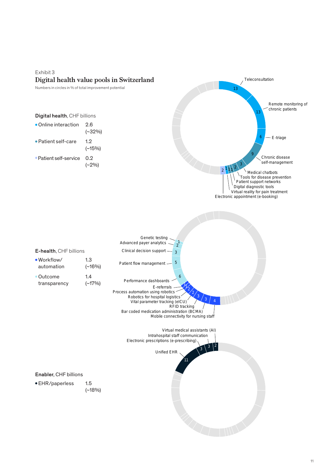### Exhibit 3 **Digital health value pools in Switzerland**



**Teleconsultation**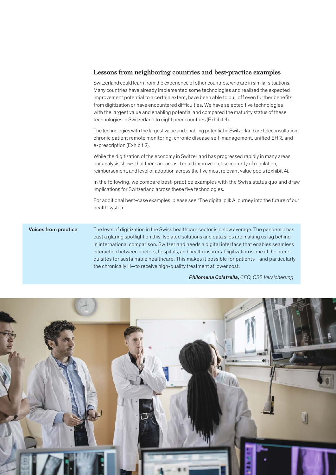#### **Lessons from neighboring countries and best-practice examples**

Switzerland could learn from the experience of other countries, who are in similar situations. Many countries have already implemented some technologies and realized the expected improvement potential to a certain extent, have been able to pull off even further benefits from digitization or have encountered difficulties. We have selected five technologies with the largest value and enabling potential and compared the maturity status of these technologies in Switzerland to eight peer countries (Exhibit 4).

The technologies with the largest value and enabling potential in Switzerland are teleconsultation, chronic patient remote monitoring, chronic disease self-management, unified EHR, and e-prescription (Exhibit 2).

While the digitization of the economy in Switzerland has progressed rapidly in many areas, our analysis shows that there are areas it could improve on, like maturity of regulation, reimbursement, and level of adoption across the five most relevant value pools (Exhibit 4).

In the following, we compare best-practice examples with the Swiss status quo and draw implications for Switzerland across these five technologies.

For additional best-case examples, please see "The digital pill: A journey into the future of our health system."

The level of digitization in the Swiss healthcare sector is below average. The pandemic has cast a glaring spotlight on this. Isolated solutions and data silos are making us lag behind in international comparison. Switzerland needs a digital interface that enables seamless interaction between doctors, hospitals, and health insurers. Digitization is one of the prerequisites for sustainable healthcare. This makes it possible for patients—and particularly the chronically ill—to receive high-quality treatment at lower cost. Voices from practice

*Philomena Colatrella, CEO, CSS Versicherung* 

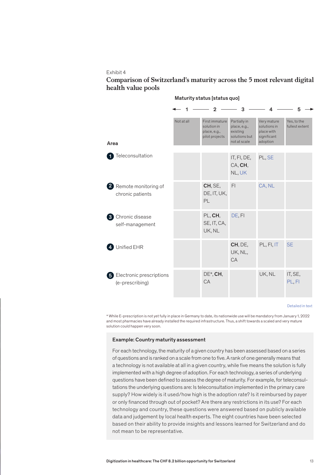#### Exhibit 4

#### **Comparison of Switzerland's maturity across the 5 most relevant digital health value pools**

|                                               |            | $\mathbf{c}$                                                    | 3                                                                         |                                                                      | 5                             |
|-----------------------------------------------|------------|-----------------------------------------------------------------|---------------------------------------------------------------------------|----------------------------------------------------------------------|-------------------------------|
| Area                                          | Not at all | First immature<br>solution in<br>place, e.g.,<br>pilot projects | Partially in<br>place, e.g.,<br>existing<br>solutions but<br>not at scale | Very mature<br>solutions in<br>place with<br>significant<br>adoption | Yes, to the<br>fullest extent |
| Teleconsultation                              |            |                                                                 | IT, FI, DE,<br>CA, CH,<br>NL, UK                                          | PL, SE                                                               |                               |
| 2 Remote monitoring of<br>chronic patients    |            | CH, SE,<br>DE, IT, UK,<br>PL                                    | F <sub>1</sub>                                                            | CA, NL                                                               |                               |
| <b>3</b> Chronic disease<br>self-management   |            | PL, CH,<br>SE, IT, CA,<br>UK, NL                                | DE, FI                                                                    |                                                                      |                               |
| Unified EHR                                   |            |                                                                 | CH, DE,<br>UK, NL,<br><b>CA</b>                                           | PL, FI, IT                                                           | <b>SE</b>                     |
| 5 Electronic prescriptions<br>(e-prescribing) |            | DE*, CH,<br>CA                                                  |                                                                           | UK, NL                                                               | IT, SE,<br>PL, FI             |

#### Maturity status [status quo]

#### Detailed in text

\* While E-prescription is not yet fully in place in Germany to date, its nationwide use will be mandatory from January 1, 2022 and most pharmacies have already installed the required infrastructure. Thus, a shift towards a scaled and very mature solution could happen very soon.

#### Example: Country maturity assessment

For each technology, the maturity of a given country has been assessed based on a series of questions and is ranked on a scale from one to five. A rank of one generally means that a technology is not available at all in a given country, while five means the solution is fully implemented with a high degree of adoption. For each technology, a series of underlying questions have been defined to assess the degree of maturity. For example, for teleconsultations the underlying questions are: Is teleconsultation implemented in the primary care supply? How widely is it used/how high is the adoption rate? Is it reimbursed by payer or only financed through out of pocket? Are there any restrictions in its use? For each technology and country, these questions were answered based on publicly available data and judgement by local health experts. The eight countries have been selected based on their ability to provide insights and lessons learned for Switzerland and do not mean to be representative.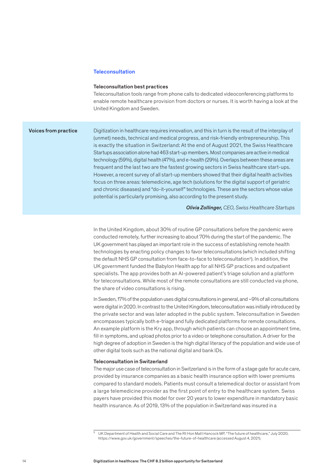#### **Teleconsultation**

#### Teleconsultation best practices

Teleconsultation tools range from phone calls to dedicated videoconferencing platforms to enable remote healthcare provision from doctors or nurses. It is worth having a look at the United Kingdom and Sweden.

#### Voices from practice

Digitization in healthcare requires innovation, and this in turn is the result of the interplay of (unmet) needs, technical and medical progress, and risk-friendly entrepreneurship. This is exactly the situation in Switzerland: At the end of August 2021, the Swiss Healthcare Startups association alone had 463 start-up members. Most companies are active in medical technology (59%), digital health (47%), and e-health (29%). Overlaps between these areas are frequent and the last two are the fastest growing sectors in Swiss healthcare start-ups. However, a recent survey of all start-up members showed that their digital health activities focus on three areas: telemedicine, age tech (solutions for the digital support of geriatric and chronic diseases) and "do-it-yourself" technologies. These are the sectors whose value potential is particularly promising, also according to the present study.

*Olivia Zollinger, CEO, Swiss Healthcare Startups*

In the United Kingdom, about 30% of routine GP consultations before the pandemic were conducted remotely, further increasing to about 70% during the start of the pandemic. The UK government has played an important role in the success of establishing remote health technologies by enacting policy changes to favor teleconsultations (which included shifting the default NHS GP consultation from face-to-face to teleconsultation<sup>5</sup>). In addition, the UK government funded the Babylon Health app for all NHS GP practices and outpatient specialists. The app provides both an AI-powered patient's triage solution and a platform for teleconsultations. While most of the remote consultations are still conducted via phone, the share of video consultations is rising.

In Sweden, 17% of the population uses digital consultations in general, and ~9% of all consultations were digital in 2020. In contrast to the United Kingdom, teleconsultation was initially introduced by the private sector and was later adopted in the public system. Teleconsultation in Sweden encompasses typically both e-triage and fully dedicated platforms for remote consultations. An example platform is the Kry app, through which patients can choose an appointment time, fill in symptoms, and upload photos prior to a video or telephone consultation. A driver for the high degree of adoption in Sweden is the high digital literacy of the population and wide use of other digital tools such as the national digital and bank IDs.

#### Teleconsultation in Switzerland

The major use case of teleconsultation in Switzerland is in the form of a stage gate for acute care, provided by insurance companies as a basic health insurance option with lower premiums compared to standard models. Patients must consult a telemedical doctor or assistant from a large telemedicine provider as the first point of entry to the healthcare system. Swiss payers have provided this model for over 20 years to lower expenditure in mandatory basic health insurance. As of 2019, 13% of the population in Switzerland was insured in a

<sup>5</sup> UK Department of Health and Social Care and The Rt Hon Matt Hancock MP, "The future of healthcare," July 2020, https://www.gov.uk/government/speeches/the-future-of-healthcare (accessed August 4, 2021).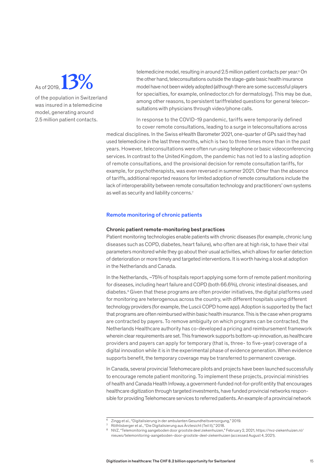As of 2019, **13%**

of the population in Switzerland was insured in a telemedicine model, generating around 2.5 million patient contacts.

telemedicine model, resulting in around 2.5 million patient contacts per year.<sup>6</sup> On the other hand, teleconsultations outside the stage-gate basic health insurance model have not been widely adopted (although there are some successful players for specialties, for example, onlinedoctor.ch for dermatology). This may be due, among other reasons, to persistent tariffrelated questions for general teleconsultations with physicians through video/phone calls.

In response to the COVID-19 pandemic, tariffs were temporarily defined to cover remote consultations, leading to a surge in teleconsultations across

medical disciplines. In the Swiss eHealth Barometer 2021, one-quarter of GPs said they had used telemedicine in the last three months, which is two to three times more than in the past years. However, teleconsultations were often run using telephone or basic videoconferencing services. In contrast to the United Kingdom, the pandemic has not led to a lasting adoption of remote consultations, and the provisional decision for remote consultation tariffs, for example, for psychotherapists, was even reversed in summer 2021. Other than the absence of tariffs, additional reported reasons for limited adoption of remote consultations include the lack of interoperability between remote consultation technology and practitioners' own systems as well as security and liability concerns.<sup>7</sup>

#### Remote monitoring of chronic patients

#### Chronic patient remote-monitoring best practices

Patient monitoring technologies enable patients with chronic diseases (for example, chronic lung diseases such as COPD, diabetes, heart failure), who often are at high risk, to have their vital parameters monitored while they go about their usual activities, which allows for earlier detection of deterioration or more timely and targeted interventions. It is worth having a look at adoption in the Netherlands and Canada.

In the Netherlands, ~75% of hospitals report applying some form of remote patient monitoring for diseases, including heart failure and COPD (both 66.6%), chronic intestinal diseases, and diabetes.8 Given that these programs are often provider initiatives, the digital platforms used for monitoring are heterogenous across the country, with different hospitals using different technology providers (for example, the Luscii COPD home app). Adoption is supported by the fact that programs are often reimbursed within basic health insurance. This is the case when programs are contracted by payers. To remove ambiguity on which programs can be contracted, the Netherlands Healthcare authority has co-developed a pricing and reimbursement framework wherein clear requirements are set. This framework supports bottom-up innovation, as healthcare providers and payers can apply for temporary (that is, three- to five-year) coverage of a digital innovation while it is in the experimental phase of evidence generation. When evidence supports benefit, the temporary coverage may be transferred to permanent coverage.

In Canada, several provincial Telehomecare pilots and projects have been launched successfully to encourage remote patient monitoring. To implement these projects, provincial ministries of health and Canada Health Infoway, a government-funded not-for-profit entity that encourages healthcare digitization through targeted investments, have funded provincial networks responsible for providing Telehomecare services to referred patients. An example of a provincial network

<sup>6</sup> Zingg et al., "Digitalisierung in der ambulanten Gesundheitsversorgung," 2019.

<sup>7</sup> Röthlisberger et al., "Die Digitalisierung aus Ärztesicht (Teil II)," 2018.

<sup>8</sup> NVZ, "Telemonitoring aangeboden door grootste deel ziekenhuizen," February 2, 2021, https://nvz-ziekenhuizen.nl/ nieuws/telemonitoring-aangeboden-door-grootste-deel-ziekenhuizen (accessed August 4, 2021).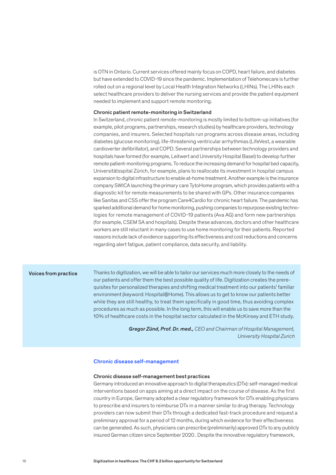is OTN in Ontario. Current services offered mainly focus on COPD, heart failure, and diabetes but have extended to COVID-19 since the pandemic. Implementation of Telehomecare is further rolled out on a regional level by Local Health Integration Networks (LHINs). The LHINs each select healthcare providers to deliver the nursing services and provide the patient equipment needed to implement and support remote monitoring.

#### Chronic patient remote-monitoring in Switzerland

In Switzerland, chronic patient remote-monitoring is mostly limited to bottom-up initiatives (for example, pilot programs, partnerships, research studies) by healthcare providers, technology companies, and insurers. Selected hospitals run programs across disease areas, including diabetes (glucose monitoring), life-threatening ventricular arrhythmias (LifeVest, a wearable cardioverter defibrillator), and COPD. Several partnerships between technology providers and hospitals have formed (for example, Leitwert and University Hospital Basel) to develop further remote patient-monitoring programs. To reduce the increasing demand for hospital bed capacity, Universitätsspital Zürich, for example, plans to reallocate its investment in hospital campus expansion to digital infrastructure to enable at-home treatment. Another example is the insurance company SWICA launching the primary care TytoHome program, which provides patients with a diagnostic kit for remote measurements to be shared with GPs. Other insurance companies like Sanitas and CSS offer the program Care4Cardio for chronic heart failure. The pandemic has sparked additional demand for home monitoring, pushing companies to repurpose existing technologies for remote management of COVID-19 patients (Ava AG) and form new partnerships (for example, CSEM SA and hospitals). Despite these advances, doctors and other healthcare workers are still reluctant in many cases to use home monitoring for their patients. Reported reasons include lack of evidence supporting its effectiveness and cost reductions and concerns regarding alert fatigue, patient compliance, data security, and liability.

#### Voices from practice

Thanks to digitization, we will be able to tailor our services much more closely to the needs of our patients and offer them the best possible quality of life. Digitization creates the prerequisites for personalized therapies and shifting medical treatment into our patients' familiar environment (keyword: Hospital@Home). This allows us to get to know our patients better while they are still healthy, to treat them specifically in good time, thus avoiding complex procedures as much as possible. In the long term, this will enable us to save more than the 10% of healthcare costs in the hospital sector calculated in the McKinsey and ETH study.

> *Gregor Zünd, Prof. Dr. med., CEO and Chairman of Hospital Management, University Hospital Zurich*

#### Chronic disease self-management

#### Chronic disease self-management best practices

Germany introduced an innovative approach to digital therapeutics (DTx): self-managed medical interventions based on apps aiming at a direct impact on the course of disease. As the first country in Europe, Germany adopted a clear regulatory framework for DTx enabling physicians to prescribe and insurers to reimburse DTx in a manner similar to drug therapy. Technology providers can now submit their DTx through a dedicated fast-track procedure and request a preliminary approval for a period of 12 months, during which evidence for their effectiveness can be generated. As such, physicians can prescribe (preliminarily) approved DTx to any publicly insured German citizen since September 2020 . Despite the innovative regulatory framework,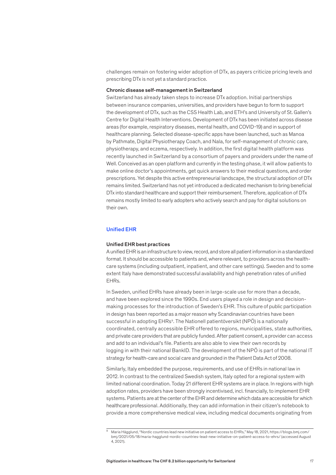challenges remain on fostering wider adoption of DTx, as payers criticize pricing levels and prescribing DTx is not yet a standard practice.

#### Chronic disease self-management in Switzerland

Switzerland has already taken steps to increase DTx adoption. Initial partnerships between insurance companies, universities, and providers have begun to form to support the development of DTx, such as the CSS Health Lab, and ETH's and University of St. Gallen's Centre for Digital Health Interventions. Development of DTx has been initiated across disease areas (for example, respiratory diseases, mental health, and COVID-19) and in support of healthcare planning. Selected disease-specific apps have been launched, such as Manoa by Pathmate, Digital Physiotherapy Coach, and Nala, for self-management of chronic care, physiotherapy, and eczema, respectively. In addition, the first digital health platform was recently launched in Switzerland by a consortium of payers and providers under the name of Well. Conceived as an open platform and currently in the testing phase, it will allow patients to make online doctor's appointments, get quick answers to their medical questions, and order prescriptions. Yet despite this active entrepreneurial landscape, the structural adoption of DTx remains limited. Switzerland has not yet introduced a dedicated mechanism to bring beneficial DTx into standard healthcare and support their reimbursement. Therefore, application of DTx remains mostly limited to early adopters who actively search and pay for digital solutions on their own.

#### Unified EHR

#### Unified EHR best practices

A unified EHR is an infrastructure to view, record, and store all patient information in a standardized format. It should be accessible to patients and, where relevant, to providers across the healthcare systems (including outpatient, inpatient, and other care settings). Sweden and to some extent Italy have demonstrated successful availability and high penetration rates of unified EHRs.

In Sweden, unified EHRs have already been in large-scale use for more than a decade, and have been explored since the 1990s. End users played a role in design and decisionmaking processes for the introduction of Sweden's EHR. This culture of public participation in design has been reported as a major reason why Scandinavian countries have been successful in adopting EHRs<sup>9</sup>. The Nationell patientöversikt (NPÖ) is a nationally coordinated, centrally accessible EHR offered to regions, municipalities, state authorities, and private care providers that are publicly funded. After patient consent, a provider can access and add to an individual's file. Patients are also able to view their own records by logging in with their national BankID. The development of the NPÖ is part of the national IT strategy for health-care and social care and grounded in the Patient Data Act of 2008.

Similarly, Italy embedded the purpose, requirements, and use of EHRs in national law in 2012. In contrast to the centralized Swedish system, Italy opted for a regional system with limited national coordination. Today 21 different EHR systems are in place. In regions with high adoption rates, providers have been strongly incentivised, incl. financially, to implement EHR systems. Patients are at the center of the EHR and determine which data are accessible for which healthcare professional. Additionally, they can add information in their citizen's notebook to provide a more comprehensive medical view, including medical documents originating from

<sup>9</sup> Maria Hägglund, "Nordic countries lead new initiative on patient access to EHRs," May 18, 2021, https://blogs.bmj.com/ bmj/2021/05/18/maria-hagglund-nordic-countries-lead-new-initiative-on-patient-access-to-ehrs/ (accessed August 4, 2021).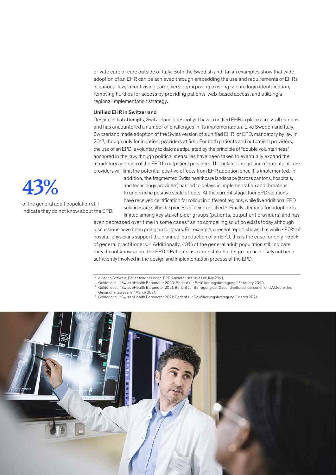private care or care outside of Italy. Both the Swedish and Italian examples show that wide adoption of an EHR can be achieved through embedding the use and requirements of EHRs in national law, incentivising caregivers, repurposing existing secure login identification, removing hurdles for access by providing patients' web-based access, and utilizing a regional implementation strategy.

#### Unified EHR in Switzerland

Despite initial attempts, Switzerland does not yet have a unified EHR in place across all cantons and has encountered a number of challenges in its implementation. Like Sweden and Italy, Switzerland made adoption of the Swiss version of a unified EHR, or EPD, mandatory by law in 2017, though only for inpatient providers at first. For both patients and outpatient providers, the use of an EPD is voluntary to date as stipulated by the principle of "double voluntariness" anchored in the law, though political measures have been taken to eventually expand the mandatory adoption of the EPD to outpatient providers. The belated integration of outpatient care providers will limit the potential positive effects from EHR adoption once it is implemented. In

> addition, the fragmented Swiss healthcare landscape (across cantons, hospitals, and technology providers) has led to delays in implementation and threatens to undermine positive scale effects. At the current stage, four EPD solutions have received certification for rollout in different regions, while five additional EPD solutions are still in the process of being certified.<sup>10</sup> Finally, demand for adoption is limited among key stakeholder groups (patients, outpatient providers) and has

even decreased over time in some cases<sup>11</sup> as no compelling solution exists today although discussions have been going on for years. For example, a recent report shows that while ~80% of hospital physicians support the planned introduction of an EPD, this is the case for only ~55% of general practitioners.12 Additionally, 43% of the general adult population still indicate they do not know about the EPD.<sup>13</sup> Patients as a core stakeholder group have likely not been sufficiently involved in the design and implementation process of the EPD.

- 10 eHealth Schweiz, Patientendossier.ch, EPD Anbieter, status as of July 2021.
- <sup>11</sup> Golder et al., "Swiss eHealth Barometer 2020: Bericht zur Bevölkerungsbefragung," February 2020.
- <sup>12</sup> Golder et al., "Swiss eHealth Barometer 2021: Bericht zur Befragung der Gesundheitsfachpersonen und Akteure des Gesundheitswesens," March 2021.
- <sup>13</sup> Golder et al., "Swiss eHealth Barometer 2021: Bericht zur Bevölkerungsbefragung," March 2021.





of the general adult population still indicate they do not know about the EPD.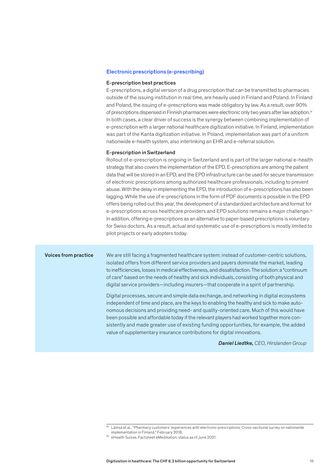#### Electronic prescriptions (e-prescribing)

#### E-prescription best practices

E-prescriptions, a digital version of a drug prescription that can be transmitted to pharmacies outside of the issuing institution in real time, are heavily used in Finland and Poland. In Finland and Poland, the issuing of e-prescriptions was made obligatory by law. As a result, over 90% of prescriptions dispensed in Finnish pharmacies were electronic only two years after law adoption.<sup>14</sup> In both cases, a clear driver of success is the synergy between combining implementation of e-prescription with a larger national healthcare digitization initiative. In Finland, implementation was part of the Kanta digitization initiative. In Poland, implementation was part of a uniform nationwide e-health system, also interlinking an EHR and e-referral solution.

#### E-prescription in Switzerland

Rollout of e-prescription is ongoing in Switzerland and is part of the larger national e-health strategy that also covers the implementation of the EPD. E-prescriptions are among the patient data that will be stored in an EPD, and the EPD infrastructure can be used for secure transmission of electronic prescriptions among authorized healthcare professionals, including to prevent abuse. With the delay in implementing the EPD, the introduction of e-prescriptions has also been lagging. While the use of e-prescriptions in the form of PDF documents is possible in the EPD offers being rolled out this year, the development of a standardized architecture and format for e-prescriptions across healthcare providers and EPD solutions remains a major challenge.15 In addition, offering e-prescriptions as an alternative to paper-based prescriptions is voluntary for Swiss doctors. As a result, actual and systematic use of e-prescriptions is mostly limited to pilot projects or early adopters today.

#### Voices from practice

We are still facing a fragmented healthcare system: instead of customer-centric solutions, isolated offers from different service providers and payers dominate the market, leading to inefficiencies, losses in medical effectiveness, and dissatisfaction. The solution: a "continuum of care" based on the needs of healthy and sick individuals, consisting of both physical and digital service providers—including insurers—that cooperate in a spirit of partnership.

Digital processes, secure and simple data exchange, and networking in digital ecosystems independent of time and place, are the keys to enabling the healthy and sick to make autonomous decisions and providing need- and quality-oriented care. Much of this would have been possible and affordable today if the relevant players had worked together more consistently and made greater use of existing funding opportunities, for example, the added value of supplementary insurance contributions for digital innovations.

 *Daniel Liedtke, CEO, Hirslanden Group*

<sup>14</sup> Lämsä et al., "Pharmacy customers' experiences with electronic prescriptions: Cross-sectional survey on nationwide implementation in Finland," February 2018.

<sup>15</sup> eHealth Suisse, Factsheet eMedikation, status as of June 2021.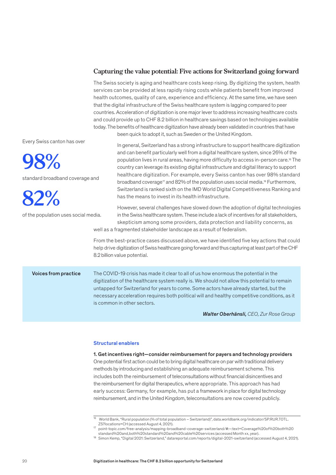#### **Capturing the value potential: Five actions for Switzerland going forward**

The Swiss society is aging and healthcare costs keep rising. By digitizing the system, health services can be provided at less rapidly rising costs while patients benefit from improved health outcomes, quality of care, experience and efficiency. At the same time, we have seen that the digital infrastructure of the Swiss healthcare system is lagging compared to peer countries. Acceleration of digitization is one major lever to address increasing healthcare costs and could provide up to CHF 8.2 billion in healthcare savings based on technologies available today. The benefits of healthcare digitization have already been validated in countries that have been quick to adopt it, such as Sweden or the United Kingdom.

Every Swiss canton has over

**98%** 

standard broadband coverage and

**82%** 

of the population uses social media.

In general, Switzerland has a strong infrastructure to support healthcare digitization and can benefit particularly well from a digital healthcare system, since 26% of the population lives in rural areas, having more difficulty to access in-person care.16 The country can leverage its existing digital infrastructure and digital literacy to support healthcare digitization. For example, every Swiss canton has over 98% standard broadband coverage<sup>17</sup> and 82% of the population uses social media.<sup>18</sup> Furthermore, Switzerland is ranked sixth on the IMD World Digital Competitiveness Ranking and has the means to invest in its health infrastructure.

However, several challenges have slowed down the adoption of digital technologies in the Swiss healthcare system. These include a lack of incentives for all stakeholders, skepticism among some providers, data protection and liability concerns, as

well as a fragmented stakeholder landscape as a result of federalism.

From the best-practice cases discussed above, we have identified five key actions that could help drive digitization of Swiss healthcare going forward and thus capturing at least part of the CHF 8.2 billion value potential.

The COVID-19 crisis has made it clear to all of us how enormous the potential in the digitization of the healthcare system really is. We should not allow this potential to remain untapped for Switzerland for years to come. Some actors have already started, but the necessary acceleration requires both political will and healthy competitive conditions, as it is common in other sectors. Voices from practice

 *Walter Oberhänsli, CEO, Zur Rose Group*

#### Structural enablers

1. Get incentives right—consider reimbursement for payers and technology providers One potential first action could be to bring digital healthcare on par with traditional delivery methods by introducing and establishing an adequate reimbursement scheme. This includes both the reimbursement of teleconsultations without financial disincentives and the reimbursement for digital therapeutics, where appropriate. This approach has had early success: Germany, for example, has put a framework in place for digital technology reimbursement, and in the United Kingdom, teleconsultations are now covered publicly.

<sup>16</sup> World Bank, "Rural population (% of total population – Switzerland)", data.worldbank.org/indicator/SP.RUR.TOTL. ZS?locations=CH (accessed August 4, 2021).

<sup>17</sup> point-topic.com/free-analysis/mapping-broadband-coverage-switzerland/#:~:text=Coverage%20of%20both%20 standard%20and,both%20standard%20and%20cable%20services (accessed Month xx, year).

<sup>18</sup> Simon Kemp, "Digital 2021: Switzerland," datareportal.com/reports/digital-2021-switzerland (accessed August 4, 2021).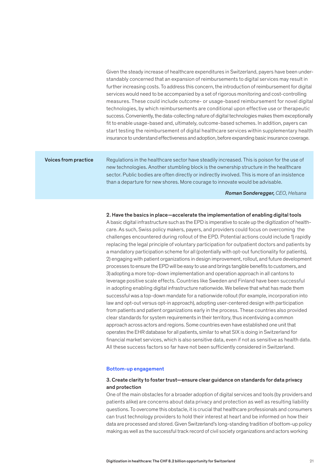Given the steady increase of healthcare expenditures in Switzerland, payers have been understandably concerned that an expansion of reimbursements to digital services may result in further increasing costs. To address this concern, the introduction of reimbursement for digital services would need to be accompanied by a set of rigorous monitoring and cost-controlling measures. These could include outcome- or usage-based reimbursement for novel digital technologies, by which reimbursements are conditional upon effective use or therapeutic success. Conveniently, the data-collecting nature of digital technologies makes them exceptionally fit to enable usage-based and, ultimately, outcome-based schemes. In addition, payers can start testing the reimbursement of digital healthcare services within supplementary health insurance to understand effectiveness and adoption, before expanding basic insurance coverage.

#### Voices from practice

Regulations in the healthcare sector have steadily increased. This is poison for the use of new technologies. Another stumbling block is the ownership structure in the healthcare sector. Public bodies are often directly or indirectly involved. This is more of an insistence than a departure for new shores. More courage to innovate would be advisable.

 *Roman Sonderegger, CEO, Helsana*

#### 2. Have the basics in place—accelerate the implementation of enabling digital tools

A basic digital infrastructure such as the EPD is imperative to scale up the digitization of healthcare. As such, Swiss policy makers, payers, and providers could focus on overcoming the challenges encountered during rollout of the EPD. Potential actions could include 1) rapidly replacing the legal principle of voluntary participation for outpatient doctors and patients by a mandatory participation scheme for all (potentially with opt-out functionality for patients), 2) engaging with patient organizations in design improvement, rollout, and future development processes to ensure the EPD will be easy to use and brings tangible benefits to customers, and 3) adopting a more top-down implementation and operation approach in all cantons to leverage positive scale effects. Countries like Sweden and Finland have been successful in adopting enabling digital infrastructure nationwide. We believe that what has made them successful was a top-down mandate for a nationwide rollout (for example, incorporation into law and opt-out versus opt-in approach), adopting user-centered design with participation from patients and patient organizations early in the process. These countries also provided clear standards for system requirements in their territory, thus incentivizing a common approach across actors and regions. Some countries even have established one unit that operates the EHR database for all patients, similar to what SIX is doing in Switzerland for financial market services, which is also sensitive data, even if not as sensitive as health data. All these success factors so far have not been sufficiently considered in Switzerland.

#### Bottom-up engagement

#### 3. Create clarity to foster trust—ensure clear guidance on standards for data privacy and protection

One of the main obstacles for a broader adoption of digital services and tools (by providers and patients alike) are concerns about data privacy and protection as well as resulting liability questions. To overcome this obstacle, it is crucial that healthcare professionals and consumers can trust technology providers to hold their interest at heart and be informed on how their data are processed and stored. Given Switzerland's long-standing tradition of bottom-up policy making as well as the successful track record of civil society organizations and actors working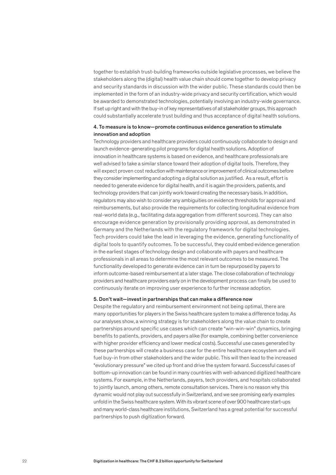together to establish trust-building frameworks outside legislative processes, we believe the stakeholders along the (digital) health value chain should come together to develop privacy and security standards in discussion with the wider public. These standards could then be implemented in the form of an industry-wide privacy and security certification, which would be awarded to demonstrated technologies, potentially involving an industry-wide governance. If set up right and with the buy-in of key representatives of all stakeholder groups, this approach could substantially accelerate trust building and thus acceptance of digital health solutions.

#### 4. To measure is to know—promote continuous evidence generation to stimulate innovation and adoption

Technology providers and healthcare providers could continuously collaborate to design and launch evidence-generating pilot programs for digital health solutions. Adoption of innovation in healthcare systems is based on evidence, and healthcare professionals are well advised to take a similar stance toward their adoption of digital tools. Therefore, they will expect proven cost reduction with maintenance or improvement of clinical outcomes before they consider implementing and adopting a digital solution as justified. As a result, effort is needed to generate evidence for digital health, and it is again the providers, patients, and technology providers that can jointly work toward creating the necessary basis. In addition, regulators may also wish to consider any ambiguities on evidence thresholds for approval and reimbursements, but also provide the requirements for collecting longitudinal evidence from real-world data (e.g., facilitating data aggregation from different sources). They can also encourage evidence generation by provisionally providing approval, as demonstrated in Germany and the Netherlands with the regulatory framework for digital technologies. Tech providers could take the lead in leveraging the evidence, generating functionality of digital tools to quantify outcomes. To be successful, they could embed evidence generation in the earliest stages of technology design and collaborate with payers and healthcare professionals in all areas to determine the most relevant outcomes to be measured. The functionality developed to generate evidence can in turn be repurposed by payers to inform outcome-based reimbursement at a later stage. The close collaboration of technology providers and healthcare providers early on in the development process can finally be used to continuously iterate on improving user experience to further increase adoption.

#### 5. Don't wait—invest in partnerships that can make a difference now

Despite the regulatory and reimbursement environment not being optimal, there are many opportunities for players in the Swiss healthcare system to make a difference today. As our analyses show, a winning strategy is for stakeholders along the value chain to create partnerships around specific use cases which can create "win-win-win" dynamics, bringing benefits to patients, providers, and payers alike (for example, combining better convenience with higher provider efficiency and lower medical costs). Successful use cases generated by these partnerships will create a business case for the entire healthcare ecosystem and will fuel buy-in from other stakeholders and the wider public. This will then lead to the increased "evolutionary pressure" we cited up front and drive the system forward. Successful cases of bottom-up innovation can be found in many countries with well-advanced digitized healthcare systems. For example, in the Netherlands, payers, tech providers, and hospitals collaborated to jointly launch, among others, remote consultation services. There is no reason why this dynamic would not play out successfully in Switzerland, and we see promising early examples unfold in the Swiss healthcare system. With its vibrant scene of over 900 healthcare start-ups and many world-class healthcare institutions, Switzerland has a great potential for successful partnerships to push digitization forward.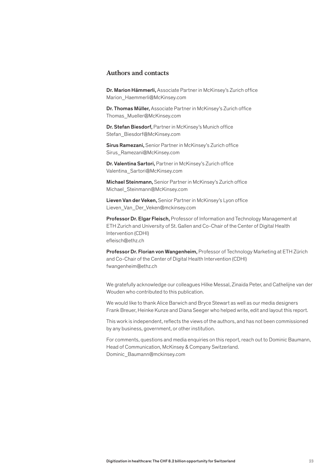#### **Authors and contacts**

Dr. Marion Hämmerli, Associate Partner in McKinsey's Zurich office Marion\_Haemmerli@McKinsey.com

Dr. Thomas Müller, Associate Partner in McKinsey's Zurich office Thomas\_Mueller@McKinsey.com

Dr. Stefan Biesdorf, Partner in McKinsey's Munich office Stefan\_Biesdorf@McKinsey.com

Sirus Ramezani, Senior Partner in McKinsey's Zurich office Sirus\_Ramezani@McKinsey.com

Dr. Valentina Sartori, Partner in McKinsey's Zurich office Valentina\_Sartori@McKinsey.com

Michael Steinmann, Senior Partner in McKinsey's Zurich office Michael\_Steinmann@McKinsey.com

Lieven Van der Veken, Senior Partner in McKinsey's Lyon office Lieven\_Van\_Der\_Veken@mckinsey.com

Professor Dr. Elgar Fleisch, Professor of Information and Technology Management at ETH Zurich and University of St. Gallen and Co-Chair of the Center of Digital Health Intervention (CDHI) efleisch@ethz.ch

Professor Dr. Florian von Wangenheim, Professor of Technology Marketing at ETH Zürich and Co-Chair of the Center of Digital Health Intervention (CDHI) fwangenheim@ethz.ch

We gratefully acknowledge our colleagues Hilke Messal, Zinaida Peter, and Cathelijne van der Wouden who contributed to this publication.

We would like to thank Alice Barwich and Bryce Stewart as well as our media designers Frank Breuer, Heinke Kunze and Diana Seeger who helped write, edit and layout this report.

This work is independent, reflects the views of the authors, and has not been commissioned by any business, government, or other institution.

For comments, questions and media enquiries on this report, reach out to Dominic Baumann, Head of Communication, McKinsey & Company Switzerland. Dominic\_Baumann@mckinsey.com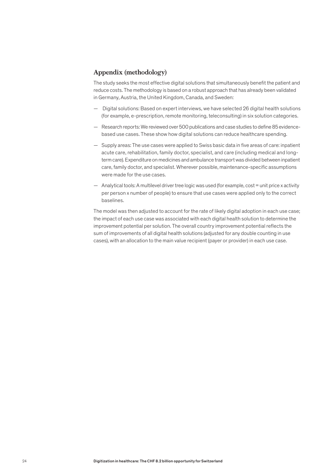#### **Appendix (methodology)**

The study seeks the most effective digital solutions that simultaneously benefit the patient and reduce costs. The methodology is based on a robust approach that has already been validated in Germany, Austria, the United Kingdom, Canada, and Sweden:

- Digital solutions: Based on expert interviews, we have selected 26 digital health solutions (for example, e-prescription, remote monitoring, teleconsulting) in six solution categories.
- Research reports: We reviewed over 500 publications and case studies to define 85 evidencebased use cases. These show how digital solutions can reduce healthcare spending.
- Supply areas: The use cases were applied to Swiss basic data in five areas of care: inpatient acute care, rehabilitation, family doctor, specialist, and care (including medical and longterm care). Expenditure on medicines and ambulance transport was divided between inpatient care, family doctor, and specialist. Wherever possible, maintenance-specific assumptions were made for the use cases.
- Analytical tools: A multilevel driver tree logic was used (for example, cost = unit price x activity per person x number of people) to ensure that use cases were applied only to the correct baselines.

The model was then adjusted to account for the rate of likely digital adoption in each use case; the impact of each use case was associated with each digital health solution to determine the improvement potential per solution. The overall country improvement potential reflects the sum of improvements of all digital health solutions (adjusted for any double counting in use cases), with an allocation to the main value recipient (payer or provider) in each use case.